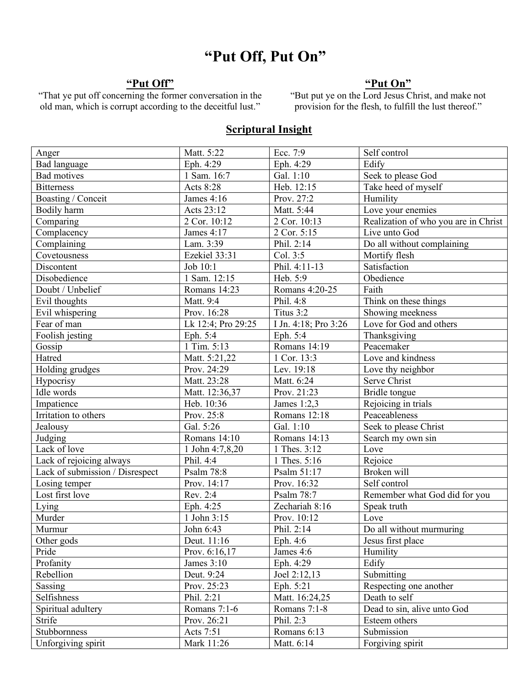# **"Put Off, Put On"**

# **"Put Off"**

"That ye put off concerning the former conversation in the old man, which is corrupt according to the deceitful lust."

# **"Put On"**

"But put ye on the Lord Jesus Christ, and make not provision for the flesh, to fulfill the lust thereof."

#### **Scriptural Insight**

| Anger                           | Matt. 5:22         | Ecc. 7:9                  | Self control                         |
|---------------------------------|--------------------|---------------------------|--------------------------------------|
| <b>Bad language</b>             | Eph. 4:29          | Eph. 4:29                 | Edify                                |
| <b>Bad motives</b>              | 1 Sam. $16:7$      | Gal. 1:10                 | Seek to please God                   |
| <b>Bitterness</b>               | Acts 8:28          | Heb. 12:15                | Take heed of myself                  |
| Boasting / Conceit              | James 4:16         | Prov. 27:2                | Humility                             |
| Bodily harm                     | Acts 23:12         | Matt. 5:44                | Love your enemies                    |
| Comparing                       | 2 Cor. 10:12       | 2 Cor. 10:13              | Realization of who you are in Christ |
| Complacency                     | James 4:17         | 2 Cor. 5:15               | Live unto God                        |
| Complaining                     | Lam. 3:39          | Phil. 2:14                | Do all without complaining           |
| Covetousness                    | Ezekiel 33:31      | Col. 3:5                  | Mortify flesh                        |
| Discontent                      | Job 10:1           | Phil. 4:11-13             | Satisfaction                         |
| Disobedience                    | 1 Sam. 12:15       | Heb. 5:9                  | Obedience                            |
| Doubt / Unbelief                | Romans 14:23       | Romans 4:20-25            | Faith                                |
| Evil thoughts                   | Matt. 9:4          | Phil. 4:8                 | Think on these things                |
| Evil whispering                 | Prov. 16:28        | Titus 3:2                 | Showing meekness                     |
| Fear of man                     | Lk 12:4; Pro 29:25 | I Jn. 4:18; Pro 3:26      | Love for God and others              |
| Foolish jesting                 | Eph. 5:4           | Eph. 5:4                  | Thanksgiving                         |
| Gossip                          | 1 Tim. 5:13        | Romans 14:19              | Peacemaker                           |
| Hatred                          | Matt. 5:21,22      | 1 Cor. 13:3               | Love and kindness                    |
| Holding grudges                 | Prov. 24:29        | Lev. 19:18                | Love thy neighbor                    |
| Hypocrisy                       | Matt. 23:28        | Matt. 6:24                | Serve Christ                         |
| Idle words                      | Matt. 12:36,37     | Prov. 21:23               | Bridle tongue                        |
| Impatience                      | Heb. 10:36         | James $1:2,3$             | Rejoicing in trials                  |
| Irritation to others            | Prov. 25:8         | Romans $12:\overline{18}$ | Peaceableness                        |
| Jealousy                        | Gal. 5:26          | Gal. 1:10                 | Seek to please Christ                |
| Judging                         | Romans 14:10       | Romans 14:13              | Search my own sin                    |
| Lack of love                    | 1 John 4:7,8,20    | 1 Thes. 3:12              | Love                                 |
| Lack of rejoicing always        | Phil. 4:4          | 1 Thes. 5:16              | Rejoice                              |
| Lack of submission / Disrespect | Psalm 78:8         | Psalm 51:17               | Broken will                          |
| Losing temper                   | Prov. 14:17        | Prov. 16:32               | Self control                         |
| Lost first love                 | Rev. 2:4           | Psalm 78:7                | Remember what God did for you        |
| Lying                           | Eph. 4:25          | Zechariah 8:16            | Speak truth                          |
| Murder                          | 1 John 3:15        | Prov. 10:12               | Love                                 |
| Murmur                          | John 6:43          | Phil. 2:14                | Do all without murmuring             |
| Other gods                      | Deut. 11:16        | Eph. 4:6                  | Jesus first place                    |
| Pride                           | Prov. 6:16,17      | James 4:6                 | Humility                             |
| Profanity                       | James $3:10$       | Eph. 4:29                 | Edify                                |
| Rebellion                       | Deut. 9:24         | Joel 2:12,13              | Submitting                           |
| Sassing                         | Prov. 25:23        | Eph. 5:21                 | Respecting one another               |
| Selfishness                     | Phil. 2:21         | Matt. 16:24,25            | Death to self                        |
| Spiritual adultery              | Romans 7:1-6       | Romans 7:1-8              | Dead to sin, alive unto God          |
| Strife                          | Prov. 26:21        | Phil. 2:3                 | Esteem others                        |
| Stubbornness                    | Acts 7:51          | Romans 6:13               | Submission                           |
| Unforgiving spirit              | Mark 11:26         | Matt. 6:14                | Forgiving spirit                     |
|                                 |                    |                           |                                      |